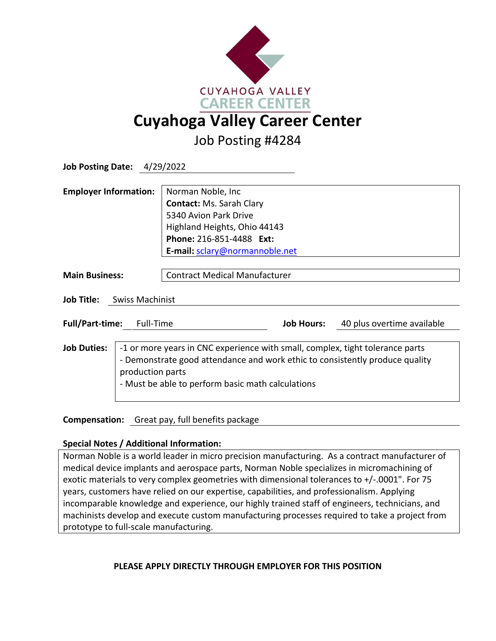

Job Posting #4284

| <b>Job Posting Date: 4/29/2022</b>                                   |                                                                                                                                                                                                                    |
|----------------------------------------------------------------------|--------------------------------------------------------------------------------------------------------------------------------------------------------------------------------------------------------------------|
| <b>Employer Information:</b>                                         | Norman Noble, Inc                                                                                                                                                                                                  |
|                                                                      | <b>Contact: Ms. Sarah Clary</b>                                                                                                                                                                                    |
|                                                                      | 5340 Avion Park Drive                                                                                                                                                                                              |
|                                                                      | Highland Heights, Ohio 44143                                                                                                                                                                                       |
|                                                                      | Phone: 216-851-4488 Ext:                                                                                                                                                                                           |
|                                                                      | E-mail: sclary@normannoble.net                                                                                                                                                                                     |
|                                                                      |                                                                                                                                                                                                                    |
| <b>Main Business:</b>                                                | <b>Contract Medical Manufacturer</b>                                                                                                                                                                               |
| Job Title:<br>Swiss Machinist<br><b>Full/Part-time:</b><br>Full-Time | <b>Job Hours:</b><br>40 plus overtime available                                                                                                                                                                    |
|                                                                      |                                                                                                                                                                                                                    |
| <b>Job Duties:</b><br>production parts                               | -1 or more years in CNC experience with small, complex, tight tolerance parts<br>- Demonstrate good attendance and work ethic to consistently produce quality<br>- Must be able to perform basic math calculations |

**Compensation:** Great pay, full benefits package

## **Special Notes / Additional Information:**

Norman Noble is a world leader in micro precision manufacturing. As a contract manufacturer of medical device implants and aerospace parts, Norman Noble specializes in micromachining of exotic materials to very complex geometries with dimensional tolerances to +/-.0001". For 75 years, customers have relied on our expertise, capabilities, and professionalism. Applying incomparable knowledge and experience, our highly trained staff of engineers, technicians, and machinists develop and execute custom manufacturing processes required to take a project from prototype to full-scale manufacturing.

## **PLEASE APPLY DIRECTLY THROUGH EMPLOYER FOR THIS POSITION**